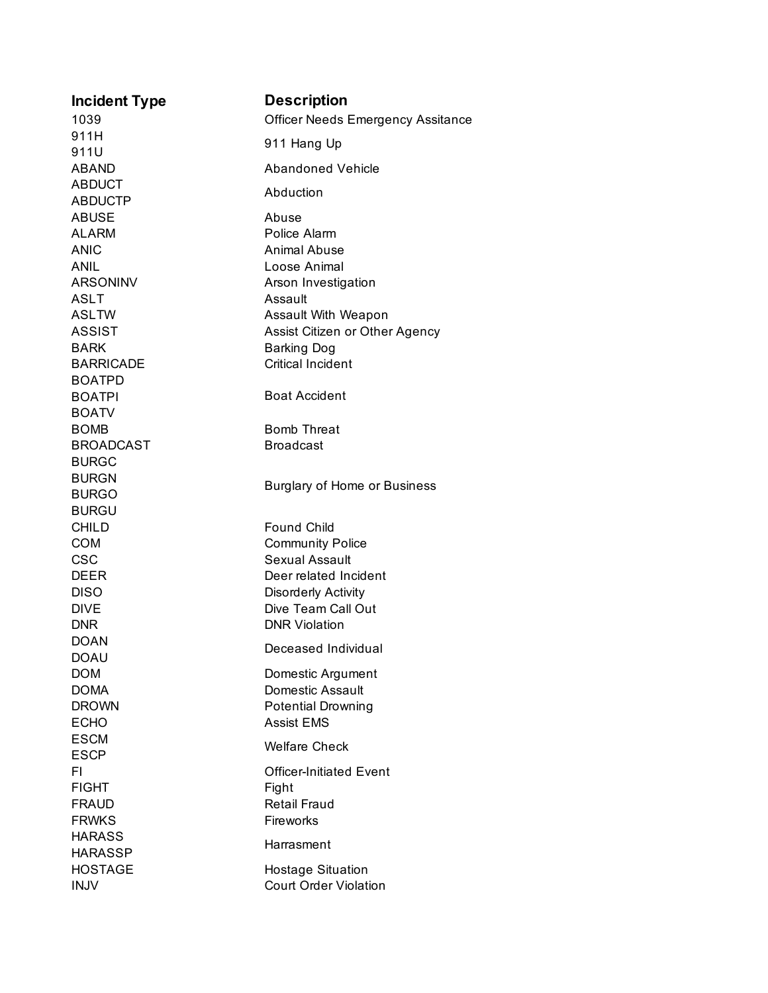| <b>Officer Needs Emergency Assitance</b> |
|------------------------------------------|
|                                          |
|                                          |
|                                          |
|                                          |
|                                          |
|                                          |
|                                          |
|                                          |
|                                          |
|                                          |
|                                          |
|                                          |
|                                          |
|                                          |
|                                          |
|                                          |
|                                          |
|                                          |
|                                          |
|                                          |
|                                          |
|                                          |
|                                          |
|                                          |
|                                          |
|                                          |
|                                          |
|                                          |
|                                          |
|                                          |
|                                          |
|                                          |
|                                          |
|                                          |
|                                          |
|                                          |
|                                          |
|                                          |
|                                          |
|                                          |
|                                          |
|                                          |
|                                          |
|                                          |
|                                          |
|                                          |
|                                          |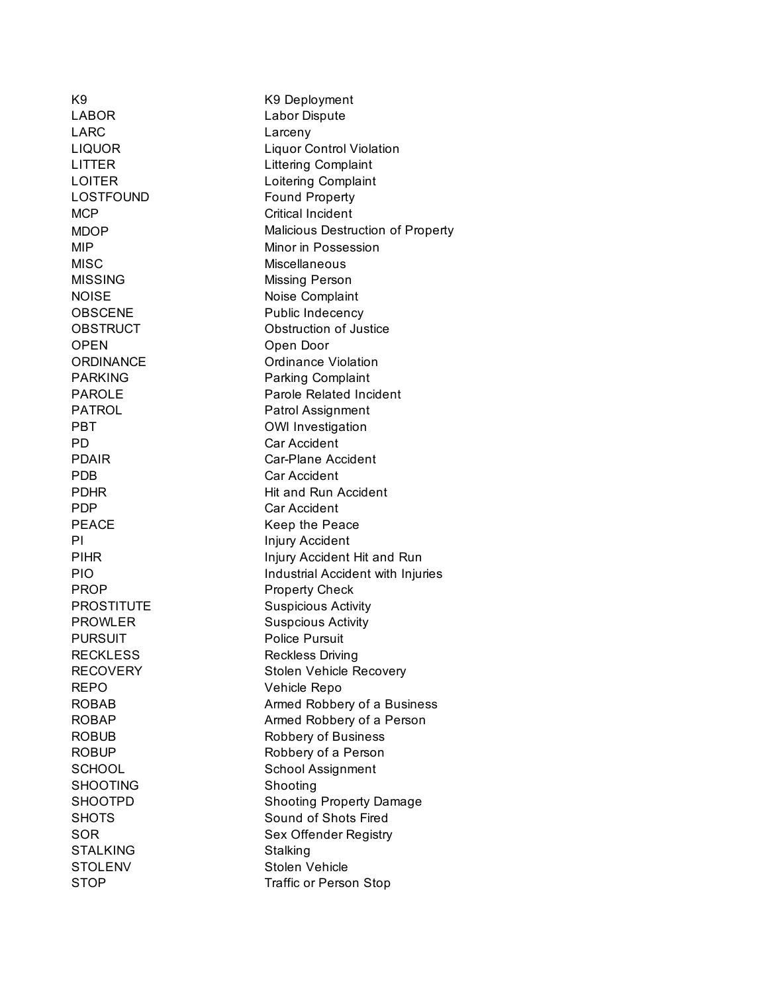| K9              | K9 Deployment                     |
|-----------------|-----------------------------------|
| LABOR           | Labor Dispute                     |
| LARC            | Larceny                           |
| LIQUOR          | <b>Liquor Control Violation</b>   |
| LITTER          | <b>Littering Complaint</b>        |
| LOITER          | Loitering Complaint               |
| LOSTFOUND       | <b>Found Property</b>             |
| MCP             | <b>Critical Incident</b>          |
| MDOP            | Malicious Destruction of Property |
| MIP             | Minor in Possession               |
| <b>MISC</b>     | Miscellaneous                     |
| MISSING         | Missing Person                    |
| NOISE           | Noise Complaint                   |
| OBSCENE         | Public Indecency                  |
| <b>OBSTRUCT</b> | Obstruction of Justice            |
| OPEN            | Open Door                         |
| ORDINANCE       | <b>Ordinance Violation</b>        |
| PARKING         | Parking Complaint                 |
| PAROLE          | <b>Parole Related Incident</b>    |
| PATROL          | Patrol Assignment                 |
| PBT             | <b>OWI</b> Investigation          |
| PD              | Car Accident                      |
| <b>PDAIR</b>    | Car-Plane Accident                |
| PDB             | Car Accident                      |
| PDHR            | <b>Hit and Run Accident</b>       |
| PDP             | <b>Car Accident</b>               |
| PEACE           | Keep the Peace                    |
| PI              | Injury Accident                   |
| PIHR            | Injury Accident Hit and Run       |
| PIO             | Industrial Accident with Injuries |
| PROP            | <b>Property Check</b>             |
| PROSTITUTE      | <b>Suspicious Activity</b>        |
| PROWLER         | <b>Suspcious Activity</b>         |
| <b>PURSUIT</b>  | <b>Police Pursuit</b>             |
| <b>RECKLESS</b> | Reckless Driving                  |
| <b>RECOVERY</b> | Stolen Vehicle Recovery           |
| <b>REPO</b>     | Vehicle Repo                      |
| ROBAB           | Armed Robbery of a Business       |
| ROBAP           | Armed Robbery of a Person         |
| ROBUB           | Robbery of Business               |
| <b>ROBUP</b>    | Robbery of a Person               |
| SCHOOL          | <b>School Assignment</b>          |
| <b>SHOOTING</b> | Shooting                          |
| SHOOTPD         | <b>Shooting Property Damage</b>   |
| SHOTS           | Sound of Shots Fired              |
| SOR             | Sex Offender Registry             |
| STALKING        | Stalking                          |
| STOLENV         | <b>Stolen Vehicle</b>             |
| <b>STOP</b>     | Traffic or Person Stop            |
|                 |                                   |